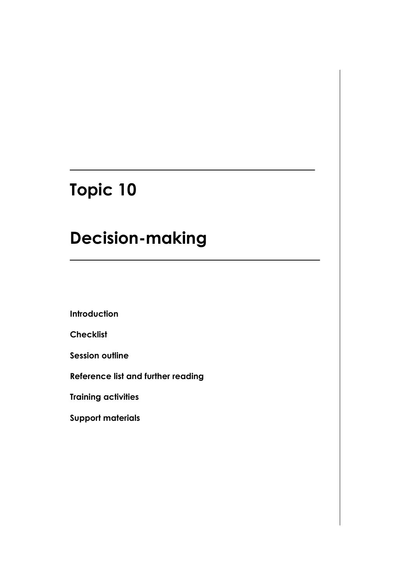# **Topic 10**

# **Decision-making**

**Introduction**

**Checklist**

**Session outline**

**Reference list and further reading**

**Training activities**

**Support materials**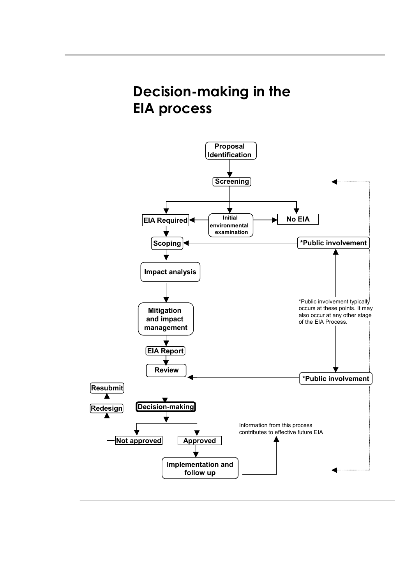# **Decision-making in the EIA process**

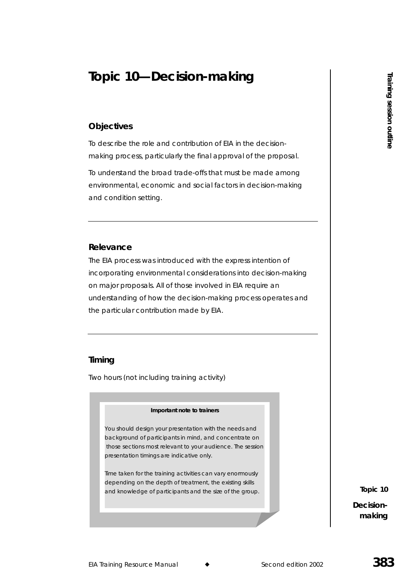# **Topic 10—Decision-making**

# **Objectives**

To describe the role and contribution of EIA in the decisionmaking process, particularly the final approval of the proposal.

To understand the broad trade-offs that must be made among environmental, economic and social factors in decision-making and condition setting.

### **Relevance**

The EIA process was introduced with the express intention of incorporating environmental considerations into decision-making on major proposals. All of those involved in EIA require an understanding of how the decision-making process operates and the particular contribution made by EIA.

# **Timing**

Two hours (not including training activity)



*You should design your presentation with the needs and background of participants in mind, and concentrate on those sections most relevant to your audience. The session presentation timings are indicative only.* 

*Time taken for the training activities can vary enormously depending on the depth of treatment, the existing skills and knowledge of participants and the size of the group.* 

**Topic 10 Decision-The CONSTANDING SECTION**<br>
Training<br>
Session<br>
making<br>
Training<br>
Training

making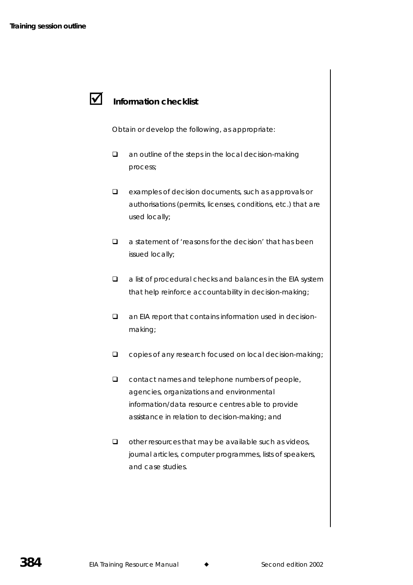### $\boldsymbol{\mathcal{U}}$ **Information checklist**

Obtain or develop the following, as appropriate:

- **Q** an outline of the steps in the local decision-making process;
- examples of decision documents, such as approvals or authorisations (permits, licenses, conditions, etc.) that are used locally;
- $\Box$  a statement of 'reasons for the decision' that has been issued locally;
- $\Box$  a list of procedural checks and balances in the EIA system that help reinforce accountability in decision-making;
- an EIA report that contains information used in decisionmaking;
- copies of any research focused on local decision-making;
- $\Box$  contact names and telephone numbers of people, agencies, organizations and environmental information/data resource centres able to provide assistance in relation to decision-making; and
- $\Box$  other resources that may be available such as videos, journal articles, computer programmes, lists of speakers, and case studies.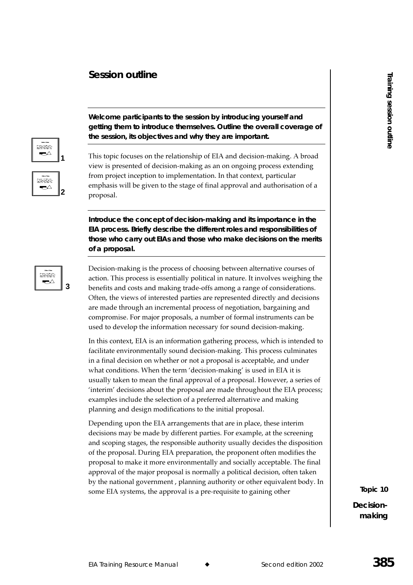# **Session outline**



**Welcome participants to the session by introducing yourself and getting them to introduce themselves. Outline the overall coverage of the session, its objectives and why they are important.** 

This topic focuses on the relationship of EIA and decision-making. A broad view is presented of decision-making as an on ongoing process extending from project inception to implementation. In that context, particular emphasis will be given to the stage of final approval and authorisation of a proposal.

**Introduce the concept of decision-making and its importance in the EIA process. Briefly describe the different roles and responsibilities of those who carry out EIAs and those who make decisions on the merits of a proposal.** 



Decision-making is the process of choosing between alternative courses of action. This process is essentially political in nature. It involves weighing the benefits and costs and making trade-offs among a range of considerations. Often, the views of interested parties are represented directly and decisions are made through an incremental process of negotiation, bargaining and l compromise. For major proposals, a number of formal instruments can be used to develop the information necessary for sound decision-making.

In this context, EIA is an information gathering process, which is intended to facilitate environmentally sound decision-making. This process culminates in a final decision on whether or not a proposal is acceptable, and under what conditions. When the term 'decision-making' is used in EIA it is usually taken to mean the final approval of a proposal. However, a series of  $\lq$  interim' decisions about the proposal are made throughout the EIA process; examples include the selection of a preferred alternative and making planning and design modifications to the initial proposal.

Depending upon the EIA arrangements that are in place, these interim decisions may be made by different parties. For example, at the screening and scoping stages*,* the responsible authority usually decides the disposition of the proposal. During EIA preparation, the proponent often modifies the proposal to make it more environmentally and socially acceptable. The final approval of the major proposal is normally a political decision, often taken by the national government , planning authority or other equivalent body. In some EIA systems, the approval is a pre-requisite to gaining other

**The CONSTANDING SECTION**<br>
Training<br>
Session<br>
making<br>
Training<br>
Training **Topic 10 Decision**making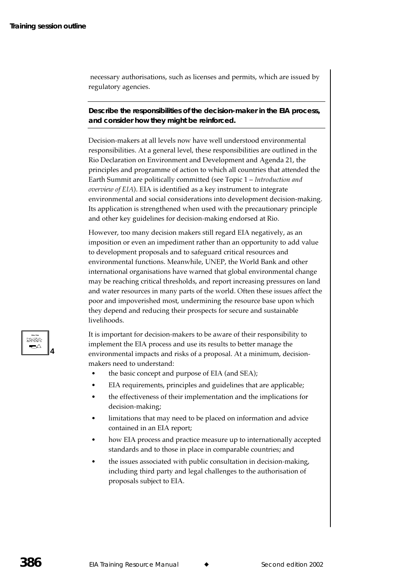necessary authorisations, such as licenses and permits, which are issued by regulatory agencies.

## **Describe the responsibilities of the decision-maker in the EIA process, and consider how they might be reinforced.**

Decision-makers at all levels now have well understood environmental responsibilities. At a general level, these responsibilities are outlined in the Rio Declaration on Environment and Development and Agenda 21, the principles and programme of action to which all countries that attended the Earth Summit are politically committed (see Topic 1 – I*ntroduction and* overview of EIA). EIA is identified as a key instrument to integrate  $\,$ environmental and social considerations into development decision-making. Its application is strengthened when used with the precautionary principle and other key guidelines for decision-making endorsed at Rio.

However, too many decision makers still regard EIA negatively, as an imposition or even an impediment rather than an opportunity to add value to development proposals and to safeguard critical resources and environmental functions. Meanwhile, UNEP, the World Bank and other international organisations have warned that global environmental change may be reaching critical thresholds, and report increasing pressures on land and water resources in many parts of the world. Often these issues affect the poor and impoverished most, undermining the resource base upon which they depend and reducing their prospects for secure and sustainable livelihoods.

It is important for decision-makers to be aware of their responsibility to implement the EIA process and use its results to better manage the environmental impacts and risks of a proposal. At a minimum, decisionmakers need to understand:

- the basic concept and purpose of EIA (and SEA);
- $\blacksquare$  EIA requirements, principles and guidelines that are applicable;
- the effectiveness of their implementation and the implications for decision-making;
- limitations that may need to be placed on information and advice contained in an EIA report;
- how EIA process and practice measure up to internationally accepted standards and to those in place in comparable countries; and
- the issues associated with public consultation in decision-making, including third party and legal challenges to the authorisation of proposals subject to EIA.

**4**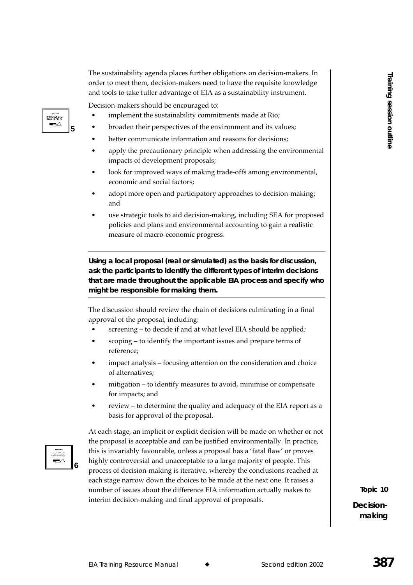The sustainability agenda places further obligations on decision-makers. In order to meet them, decision-makers need to have the requisite knowledge and tools to take fuller advantage of EIA as a sustainability instrument.

Decision-makers should be encouraged to:

- implement the sustainability commitments made at Rio;
- broaden their perspectives of the environment and its values;
- better communicate information and reasons for decisions;
- apply the precautionary principle when addressing the environmental impacts of development proposals;
- look for improved ways of making trade-offs among environmental, economic and social factors;
- adopt more open and participatory approaches to decision-making; and
- use strategic tools to aid decision-making, including SEA for proposed policies and plans and environmental accounting to gain a realistic measure of macro-economic progress.

**Using a local proposal (real or simulated) as the basis for discussion, ask the participants to identify the different types of interim decisions that are made throughout the applicable EIA process and specify who might be responsible for making them.** 

The discussion should review the chain of decisions culminating in a final approval of the proposal, including:

- screening to decide if and at what level EIA should be applied;
- scoping to identify the important issues and prepare terms of reference;
- impact analysis focusing attention on the consideration and choice of alternatives;
- mitigation to identify measures to avoid, minimise or compensate for impacts; and
- The review to determine the quality and adequacy of the EIA report as a basis for approval of the proposal.

assist **6**

**5**

taanaa ▰◠

> At each stage, an implicit or explicit decision will be made on whether or not the proposal is acceptable and can be justified environmentally. In practice, this is invariably favourable, unless a proposal has a 'fatal flaw' or proves highly controversial and unacceptable to a large majority of people. This process of decision-making is iterative, whereby the conclusions reached at each stage narrow down the choices to be made at the next one. It raises a number of issues about the difference EIA information actually makes to interim decision-making and final approval of proposals.

**The CONSTANDING SECTION**<br>
Training<br>
Session<br>
making<br>
Training<br>
Training **Topic 10 Decision**making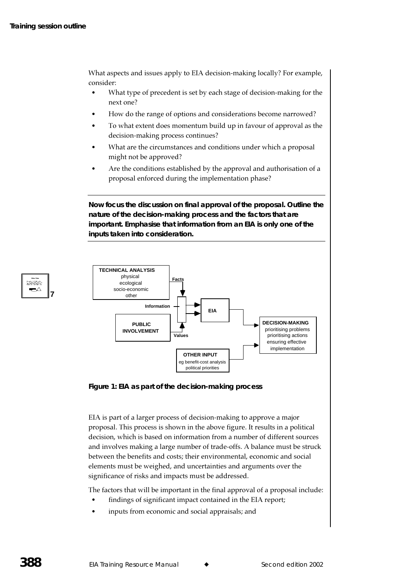**7**

<u>tatura</u> ▰◠

What aspects and issues apply to EIA decision-making locally? For example, consider:

- What type of precedent is set by each stage of decision-making for the next one?
- How do the range of options and considerations become narrowed?
- To what extent does momentum build up in favour of approval as the decision-making process continues?
- What are the circumstances and conditions under which a proposal might not be approved?
- Are the conditions established by the approval and authorisation of a proposal enforced during the implementation phase?

**Now focus the discussion on final approval of the proposal. Outline the nature of the decision-making process and the factors that are important. Emphasise that information from an EIA is only one of the inputs taken into consideration.** 



**Figure 1: EIA as part of the decision-making process** 

EIA is part of a larger process of decision-making to approve a major proposal. This process is shown in the above figure. It results in a political decision, which is based on information from a number of different sources and involves making a large number of trade-offs. A balance must be struck between the benefits and costs; their environmental, economic and social elements must be weighed*,* and uncertainties and arguments over the significance of risks and impacts must be addressed.

The factors that will be important in the final approval of a proposal include:

- findings of significant impact contained in the EIA report;
- inputs from economic and social appraisals; and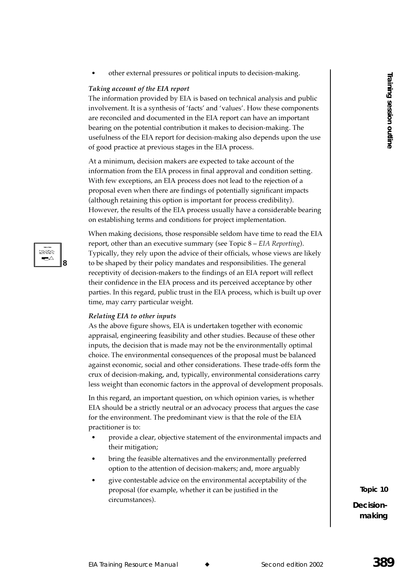other external pressures or political inputs to decision-making.

### Taking account of the EIA report

The information provided by EIA is based on technical analysis and public involvement. It is a synthesis of 'facts' and 'values'. How these components are reconciled and documented in the EIA report can have an important bearing on the potential contribution it makes to decision-making. The usefulness of the EIA report for decision-making also depends upon the use of good practice at previous stages in the EIA process.

At a minimum, decision makers are expected to take account of the information from the EIA process in final approval and condition setting. With few exceptions, an EIA process does not lead to the rejection of a proposal even when there are findings of potentially significant impacts (although retaining this option is important for process credibility). However, the results of the EIA process usually have a considerable bearing on establishing terms and conditions for project implementation.

idina ▬∧

When making decisions, those responsible seldom have time to read the EIA report, other than an executive summary (see Topic  $8 - EIA$  Reporting). Typically, they rely upon the advice of their officials, whose views are likely to be shaped by their policy mandates and responsibilities. The general receptivity of decision-makers to the findings of an EIA report will reflect their confidence in the EIA process and its perceived acceptance by other parties. In this regard, public trust in the EIA process, which is built up over time, may carry particular weight.

### Relating EIA to other inputs

As the above figure shows, EIA is undertaken together with economic appraisal, engineering feasibility and other studies. Because of these other inputs, the decision that is made may not be the environmentally optimal choice. The environmental consequences of the proposal must be balanced against economic, social and other considerations. These trade-offs form the crux of decision-making, and, typically, environmental considerations carry less weight than economic factors in the approval of development proposals.

In this regard, an important question, on which opinion varies, is whether EIA should be a strictly neutral or an advocacy process that argues the case for the environment. The predominant view is that the role of the EIA practitioner is to:

- provide a clear, objective statement of the environmental impacts and their mitigation;
- bring the feasible alternatives and the environmentally preferred option to the attention of decision-makers; and, more arguably
- give contestable advice on the environmental acceptability of the proposal (for example, whether it can be justified in the circumstances).

Topic 10 Decisionmaking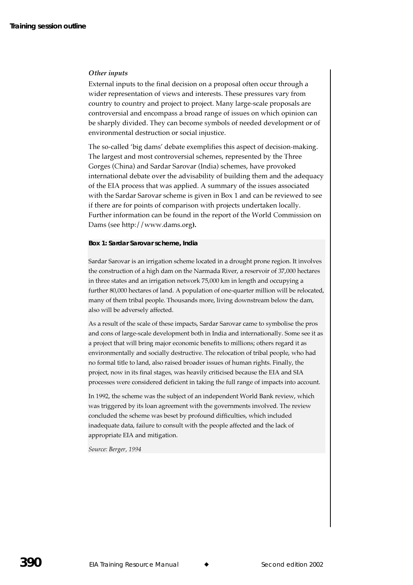### Other inputs

External inputs to the final decision on a proposal often occur through a wider representation of views and interests. These pressures vary from country to country and project to project. Many large-scale proposals are controversial and encompass a broad range of issues on which opinion can be sharply divided. They can become symbols of needed development or of environmental destruction or social injustice.

The so-called 'big dams' debate exemplifies this aspect of decision-making. The largest and most controversial schemes, represented by the Three Gorges (China) and Sardar Sarovar (India) schemes, have provoked international debate over the advisability of building them and the adequacy of the EIA process that was applied. A summary of the issues associated with the Sardar Sarovar scheme is given in Box 1 and can be reviewed to see if there are for points of comparison with projects undertaken locally. Further information can be found in the report of the World Commission on Dams (see http://www.dams.org).

### Box 1: Sardar Sarovar scheme, India

Sardar Sarovar is an irrigation scheme located in a drought prone region. It involves the construction of a high dam on the Narmada River, a reservoir of 37,000 hectares in three states and an irrigation network 75,000 km in length and occupying a further 80,000 hectares of land. A population of one-quarter million will be relocated, many of them tribal people. Thousands more, living downstream below the dam, also will be adversely affected.

As a result of the scale of these impacts, Sardar Sarovar came to symbolise the pros and cons of large-scale development both in India and internationally. Some see it as a project that will bring major economic benefits to millions; others regard it as environmentally and socially destructive. The relocation of tribal people, who had no formal title to land, also raised broader issues of human rights. Finally, the project, now in its final stages, was heavily criticised because the EIA and SIA processes were considered deficient in taking the full range of impacts into account.

In 1992, the scheme was the subject of an independent World Bank review, which was triggered by its loan agreement with the governments involved. The review concluded the scheme was beset by profound difficulties, which included inadequate data, failure to consult with the people affected and the lack of appropriate EIA and mitigation.

Source: Berger, 1994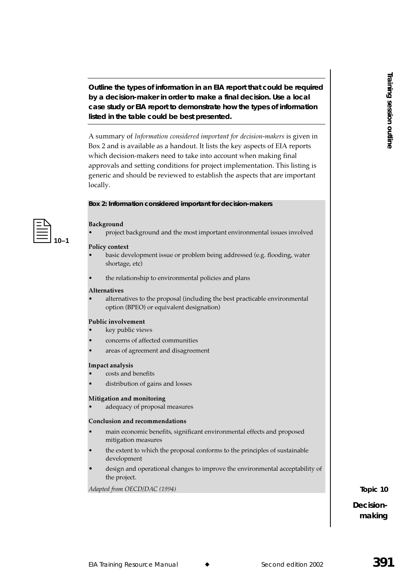**Outline the types of information in an EIA report that could be required by a decision-maker in order to make a final decision. Use a local case study or EIA report to demonstrate how the types of information listed in the table could be best presented.** 

A summary of *Information considered important for decision-makers* is given in Box 2 and is available as a handout. It lists the key aspects of EIA reports which decision-makers need to take into account when making final approvals and setting conditions for project implementation. This listing is generic and should be reviewed to establish the aspects that are important locally.

### **Box 2: Information considered important for decision-makers**



### Background

• project background and the most important environmental issues involved

### **Policy context**

- basic development issue or problem being addressed (e.g. flooding, water shortage, etc)
- the relationship to environmental policies and plans

#### Alternatives

• alternatives to the proposal (including the best practicable environmental option (BPEO) or equivalent designation)

#### **Public involvement**

- key public views
- concerns of affected communities
- areas of agreement and disagreement

#### Impact analysis

- costs and benefits
- distribution of gains and losses

#### Mitigation and monitoring

• adequacy of proposal measures

#### Conclusion and recommendations

- main economic benefits, significant environmental effects and proposed mitigation measures
- the extent to which the proposal conforms to the principles of sustainable  $\bullet$ development
- design and operational changes to improve the environmental acceptability of the project.

Adapted from OECD/DAC (1994)

**The CONSTANDING SECTION**<br>
Training<br>
Session<br>
making<br>
Training<br>
Training **Topic 10 Decision**making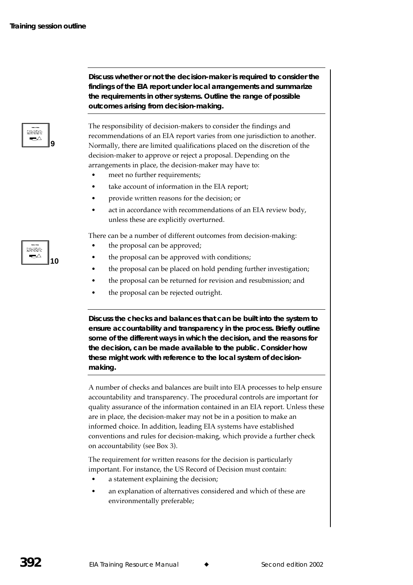**9**

⊷

**Discuss whether or not the decision-maker is required to consider the findings of the EIA report under local arrangements and summarize the requirements in other systems. Outline the range of possible outcomes arising from decision-making.** 

The responsibility of decision-makers to consider the findings and recommendations of an EIA report varies from one jurisdiction to another. Normally, there are limited qualifications placed on the discretion of the decision-maker to approve or reject a proposal. Depending on the arrangements in place, the decision-maker may have to:

- meet no further requirements;
- take account of information in the EIA report;
- provide written reasons for the decision; or
- act in accordance with recommendations of an EIA review body, unless these are explicitly overturned.

There can be a number of different outcomes from decision-making:

- the proposal can be approved;
- the proposal can be approved with conditions;
- the proposal can be placed on hold pending further investigation;
- the proposal can be returned for revision and resubmission; and
- $\bullet$  the proposal can be rejected outright.

**Discuss the checks and balances that can be built into the system to ensure accountability and transparency in the process. Briefly outline some of the different ways in which the decision, and the reasons for the decision, can be made available to the public. Consider how these might work with reference to the local system of decisionmaking.** 

A number of checks and balances are built into EIA processes to help ensure accountability and transparency. The procedural controls are important for quality assurance of the information contained in an EIA report. Unless these are in place, the decision-maker may not be in a position to make an informed choice. In addition, leading EIA systems have established conventions and rules for decision-making, which provide a further check on accountability (see Box 3).

The requirement for written reasons for the decision is particularly important. For instance, the US Record of Decision must contain:  $\,$ 

- a statement explaining the decision;
- an explanation of alternatives considered and which of these are environmentally preferable;

<u>taman</u> ⊷ **10**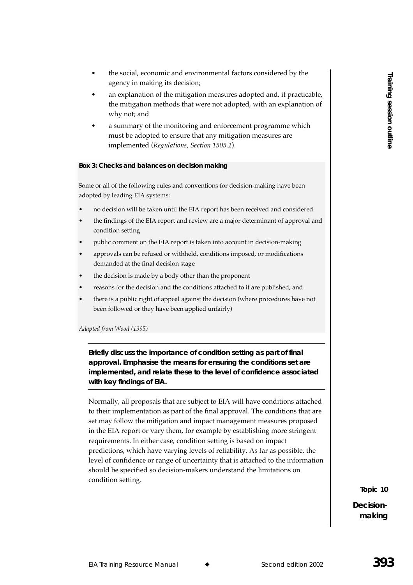- the social, economic and environmental factors considered by the agency in making its decision;
- an explanation of the mitigation measures adopted and, if practicable, the mitigation methods that were not adopted, with an explanation of why not; and
- a summary of the monitoring and enforcement programme which must be adopted to ensure that any mitigation measures are implemented (R*egulations, Section 1505.2*).

### **Box 3: Checks and balances on decision making**

Some or all of the following rules and conventions for decision-making have been adopted by leading EIA systems:

- no decision will be taken until the EIA report has been received and considered
- the findings of the EIA report and review are a major determinant of approval and condition setting
- public comment on the EIA report is taken into account in decision-making
- approvals can be refused or withheld, conditions imposed, or modifications demanded at the final decision stage
- the decision is made by a body other than the proponent
- reasons for the decision and the conditions attached to it are published, and
- there is a public right of appeal against the decision (where procedures have not been followed or they have been applied unfairly)

Adapted from Wood (1995)

**Briefly discuss the importance of condition setting as part of final approval. Emphasise the means for ensuring the conditions set are implemented, and relate these to the level of confidence associated with key findings of EIA.** 

Normally, all proposals that are subject to EIA will have conditions attached to their implementation as part of the final approval. The conditions that are set may follow the mitigation and impact management measures proposed in the EIA report or vary them, for example by establishing more stringent requirements. In either case, condition setting is based on impact predictions, which have varying levels of reliability. As far as possible, the level of confidence or range of uncertainty that is attached to the information should be specified so decision-makers understand the limitations on condition setting.

**Topic 10**

**Decision**making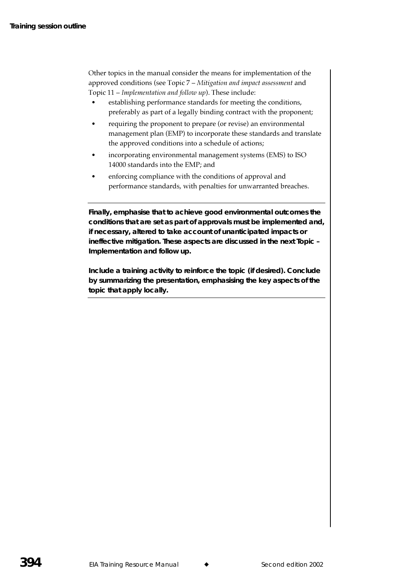Other topics in the manual consider the means for implementation of the approved conditions (see Topic 7 – Mitigation and impact assessment and Topic 11 – Implementation and follow up). These include:

- establishing performance standards for meeting the conditions, preferably as part of a legally binding contract with the proponent;
- requiring the proponent to prepare (or revise) an environmental management plan (EMP) to incorporate these standards and translate the approved conditions into a schedule of actions;
- incorporating environmental management systems (EMS) to ISO 14000 standards into the EMP; and
- enforcing compliance with the conditions of approval and performance standards, with penalties for unwarranted breaches.

**Finally, emphasise that to achieve good environmental outcomes the conditions that are set as part of approvals must be implemented and, if necessary, altered to take account of unanticipated impacts or ineffective mitigation. These aspects are discussed in the next Topic –**  *Implementation and follow up.*

**Include a training activity to reinforce the topic (if desired). Conclude by summarizing the presentation, emphasising the key aspects of the topic that apply locally.**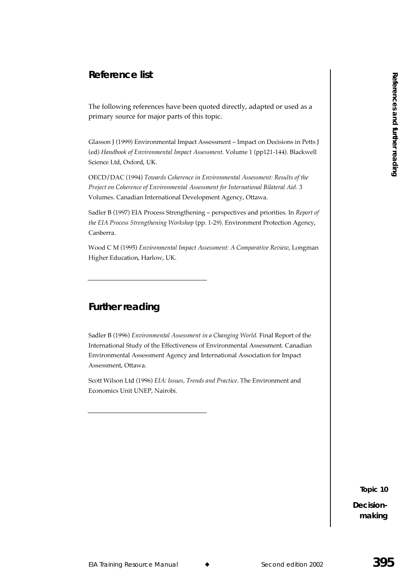# **Reference list**

The following references have been quoted directly, adapted or used as a primary source for major parts of this topic.

Glasson J (1999) Environmental Impact Assessment - Impact on Decisions in Petts J (ed) Handbook of Environmental Impact Assessment. Volume 1 (pp121-144). Blackwell Science Ltd, Oxford, UK.

OECD/DAC (1994) Towards Coherence in Environmental Assessment: Results of the Project on Coherence of Environmental Assessment for International Bilateral Aid. 3 Volumes. Canadian International Development Agency, Ottawa.

Sadler B (1997) EIA Process Strengthening - perspectives and priorities. In Report of the EIA Process Strengthening Workshop (pp. 1-29). Environment Protection Agency, Canberra.

Wood C M (1995) Environmental Impact Assessment: A Comparative Review, Longman Higher Education, Harlow, UK.

# **Further reading**

Sadler B (1996) Environmental Assessment in a Changing World. Final Report of the International Study of the Effectiveness of Environmental Assessment. Canadian Environmental Assessment Agency and International Association for Impact Assessment, Ottawa.

Scott Wilson Ltd (1996) EIA: Issues, Trends and Practice. The Environment and Economics Unit UNEP, Nairobi.

Topic 10

Decisionmaking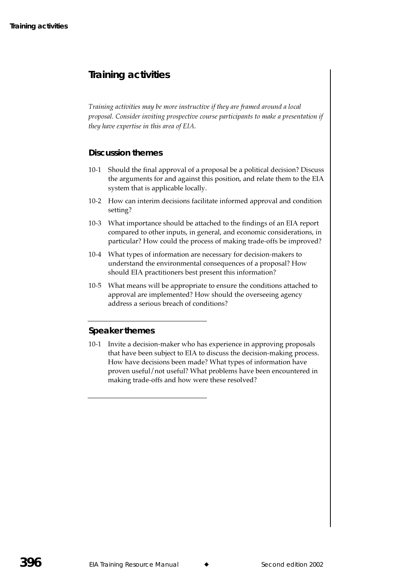# **Training activities**

Training activities may be more instructive if they are framed around a local proposal. Consider inviting prospective course participants to make a presentation if they have expertise in this area of EIA.

# **Discussion themes**

- 10-1 Should the final approval of a proposal be a political decision? Discuss the arguments for and against this position, and relate them to the EIA system that is applicable locally.  $\,$
- 10-2 How can interim decisions facilitate informed approval and condition setting?
- 10-3 What importance should be attached to the findings of an EIA report compared to other inputs, in general, and economic considerations, in particular? How could the process of making trade-offs be improved?
- 10-4 What types of information are necessary for decision-makers to understand the environmental consequences of a proposal? How should EIA practitioners best present this information?
- $10$ -5  $\;$  What means will be appropriate to ensure the conditions attached to  $\;$ approval are implemented? How should the overseeing agency address a serious breach of conditions?

# **Speaker themes**

10-1 Invite a decision-maker who has experience in approving proposals that have been subject to EIA to discuss the decision-making process. How have decisions been made? What types of information have proven useful/not useful? What problems have been encountered in making trade-offs and how were these resolved?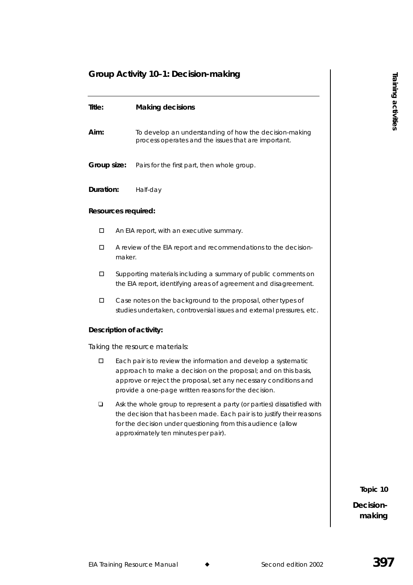# **Group Activity 10–1: Decision-making**

| Title:                         |  | <b>Making decisions</b>                                                                                                                                                                                                                                        |  |  |
|--------------------------------|--|----------------------------------------------------------------------------------------------------------------------------------------------------------------------------------------------------------------------------------------------------------------|--|--|
| Aim:                           |  | To develop an understanding of how the decision-making<br>process operates and the issues that are important.                                                                                                                                                  |  |  |
| Group size:                    |  | Pairs for the first part, then whole group.                                                                                                                                                                                                                    |  |  |
| Duration:                      |  | Half-day                                                                                                                                                                                                                                                       |  |  |
| Resources required:            |  |                                                                                                                                                                                                                                                                |  |  |
| $\Box$                         |  | An EIA report, with an executive summary.                                                                                                                                                                                                                      |  |  |
| $\Box$                         |  | A review of the EIA report and recommendations to the decision-<br>maker.                                                                                                                                                                                      |  |  |
| $\Box$                         |  | Supporting materials including a summary of public comments on<br>the EIA report, identifying areas of agreement and disagreement.                                                                                                                             |  |  |
| $\Box$                         |  | Case notes on the background to the proposal, other types of<br>studies undertaken, controversial issues and external pressures, etc.                                                                                                                          |  |  |
| Description of activity:       |  |                                                                                                                                                                                                                                                                |  |  |
| Taking the resource materials: |  |                                                                                                                                                                                                                                                                |  |  |
| □                              |  | Each pair is to review the information and develop a systematic<br>approach to make a decision on the proposal; and on this basis,<br>approve or reject the proposal, set any necessary conditions and<br>provide a one-page written reasons for the decision. |  |  |
| ❏                              |  | Ask the whole group to represent a party (or parties) dissatisfied with<br>the decision that has been made. Each pair is to justify their reasons<br>for the decision under questioning from this audience (allow<br>approximately ten minutes per pair).      |  |  |
|                                |  |                                                                                                                                                                                                                                                                |  |  |

**Topic 10**

**Decisionmaking**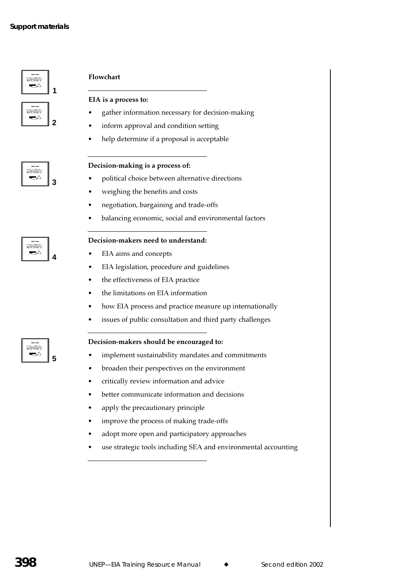

### Steate  $\Rightarrow$ **3**

English ▰◁

mara ▰△ **4**

**5**

### Flowchart

### EIA is a process to:

- gather information necessary for decision-making
- inform approval and condition setting
- help determine if a proposal is acceptable

### Decision-making is a process of:

- political choice between alternative directions
- weighing the benefits and costs
- negotiation, bargaining and trade-offs
- balancing economic, social and environmental factors

## Decision-makers need to understand:

- EIA aims and concepts
- EIA legislation, procedure and guidelines
- the effectiveness of EIA practice
- the limitations on EIA information
- how EIA process and practice measure up internationally
- issues of public consultation and third party challenges

### Decision-makers should be encouraged to:

- implement sustainability mandates and commitments
- broaden their perspectives on the environment
- critically review information and advice
- better communicate information and decisions
- apply the precautionary principle
- improve the process of making trade-offs
- adopt more open and participatory approaches
- use strategic tools including SEA and environmental accounting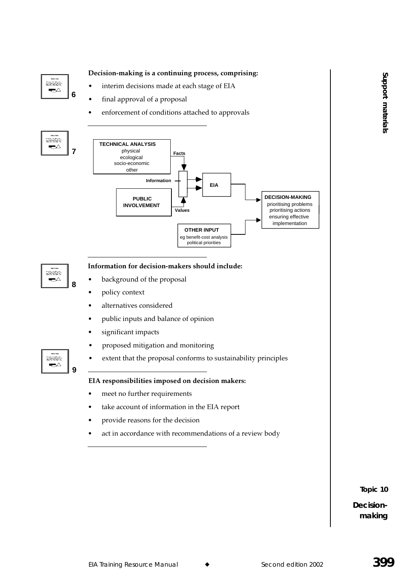

**Topic 10**

**Decisionmaking**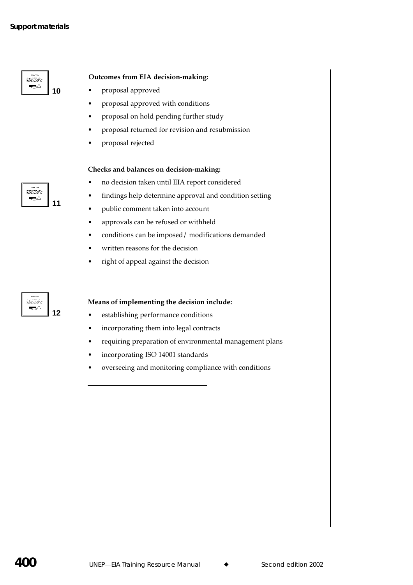| <b>SIMMY1M</b><br><b>Mar 2.4 E Mill 19 Mar</b><br><b>SACTOS</b> |  |
|-----------------------------------------------------------------|--|
|                                                                 |  |

# Outcomes from EIA decision-making:

- $\bullet$ proposal approved
- proposal approved with conditions
- proposal on hold pending further study
- proposal returned for revision and resubmission
- proposal rejected

## Checks and balances on decision-making:

- no decision taken until EIA report considered
- findings help determine approval and condition setting
- public comment taken into account
- approvals can be refused or withheld  $\bullet$
- conditions can be imposed/modifications demanded
- written reasons for the decision
- right of appeal against the decision

### Means of implementing the decision include:

- establishing performance conditions
- incorporating them into legal contracts
- requiring preparation of environmental management plans
- incorporating ISO 14001 standards
- overseeing and monitoring compliance with conditions

itacatae ન∆  $11$ 

titulat  $\rightarrow$  $12$